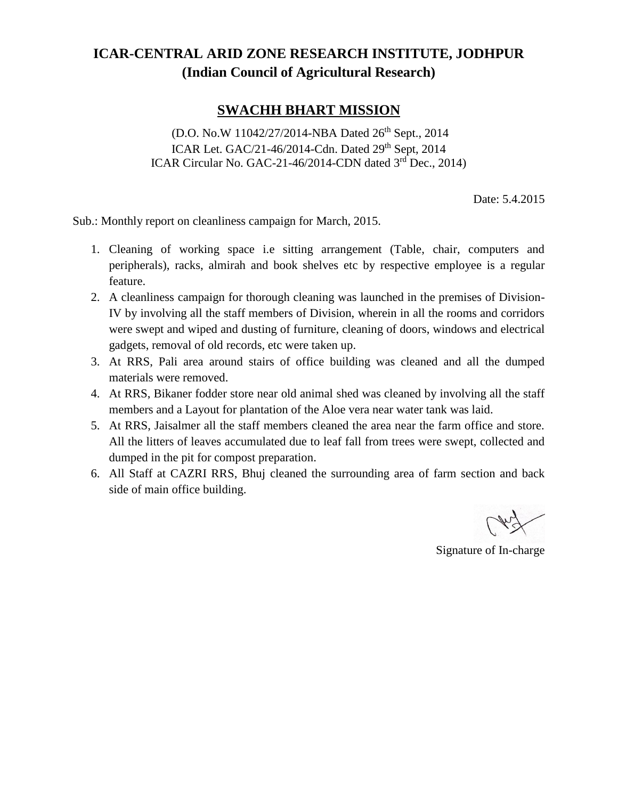## **ICAR-CENTRAL ARID ZONE RESEARCH INSTITUTE, JODHPUR (Indian Council of Agricultural Research)**

## **SWACHH BHART MISSION**

(D.O. No.W 11042/27/2014-NBA Dated 26<sup>th</sup> Sept., 2014 ICAR Let. GAC/21-46/2014-Cdn. Dated 29<sup>th</sup> Sept, 2014 ICAR Circular No. GAC-21-46/2014-CDN dated 3<sup>rd</sup> Dec., 2014)

Date: 5.4.2015

Sub.: Monthly report on cleanliness campaign for March, 2015.

- 1. Cleaning of working space i.e sitting arrangement (Table, chair, computers and peripherals), racks, almirah and book shelves etc by respective employee is a regular feature.
- 2. A cleanliness campaign for thorough cleaning was launched in the premises of Division-IV by involving all the staff members of Division, wherein in all the rooms and corridors were swept and wiped and dusting of furniture, cleaning of doors, windows and electrical gadgets, removal of old records, etc were taken up.
- 3. At RRS, Pali area around stairs of office building was cleaned and all the dumped materials were removed.
- 4. At RRS, Bikaner fodder store near old animal shed was cleaned by involving all the staff members and a Layout for plantation of the Aloe vera near water tank was laid.
- 5. At RRS, Jaisalmer all the staff members cleaned the area near the farm office and store. All the litters of leaves accumulated due to leaf fall from trees were swept, collected and dumped in the pit for compost preparation.
- 6. All Staff at CAZRI RRS, Bhuj cleaned the surrounding area of farm section and back side of main office building.

Signature of In-charge